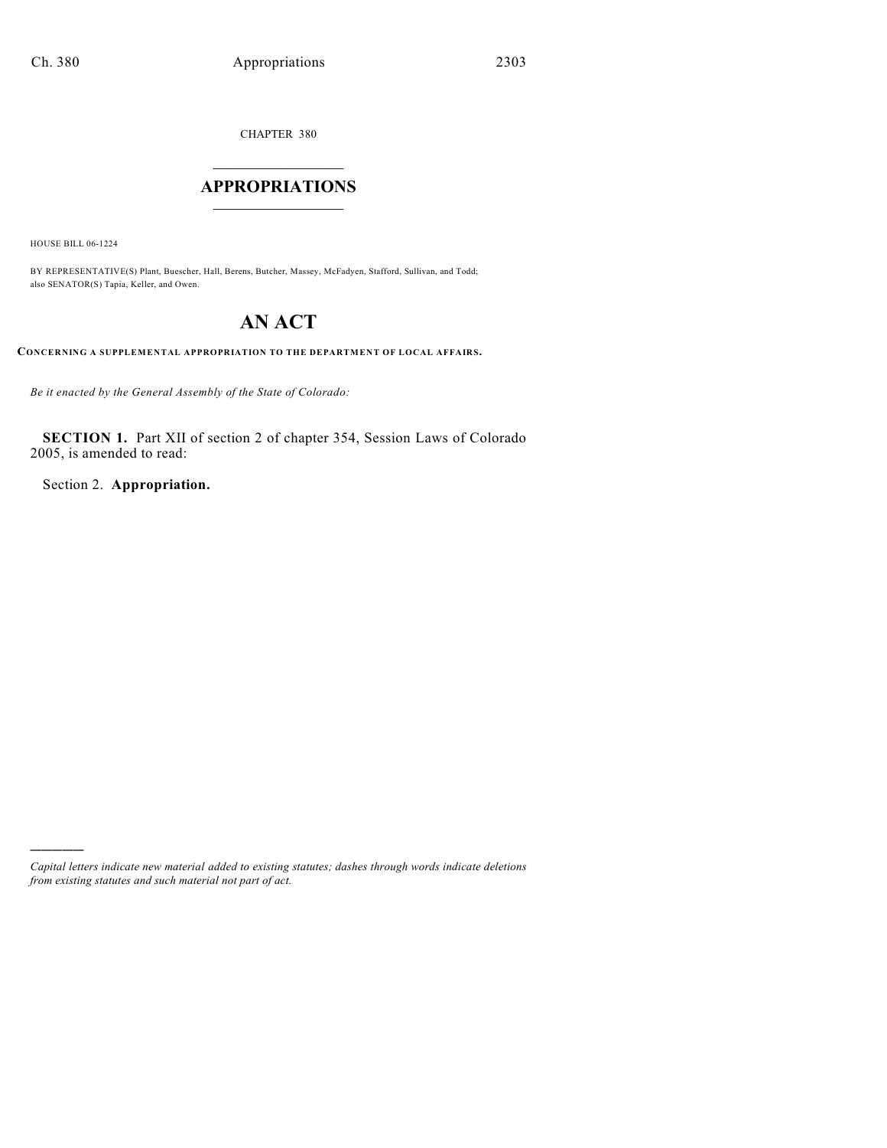CHAPTER 380

# $\mathcal{L}_\text{max}$  . The set of the set of the set of the set of the set of the set of the set of the set of the set of the set of the set of the set of the set of the set of the set of the set of the set of the set of the set **APPROPRIATIONS**  $\_$   $\_$   $\_$   $\_$   $\_$   $\_$   $\_$   $\_$

HOUSE BILL 06-1224

)))))

BY REPRESENTATIVE(S) Plant, Buescher, Hall, Berens, Butcher, Massey, McFadyen, Stafford, Sullivan, and Todd; also SENATOR(S) Tapia, Keller, and Owen.

# **AN ACT**

**CONCERNING A SUPPLEMENTAL APPROPRIATION TO THE DEPARTMENT OF LOCAL AFFAIRS.**

*Be it enacted by the General Assembly of the State of Colorado:*

**SECTION 1.** Part XII of section 2 of chapter 354, Session Laws of Colorado 2005, is amended to read:

Section 2. **Appropriation.**

*Capital letters indicate new material added to existing statutes; dashes through words indicate deletions from existing statutes and such material not part of act.*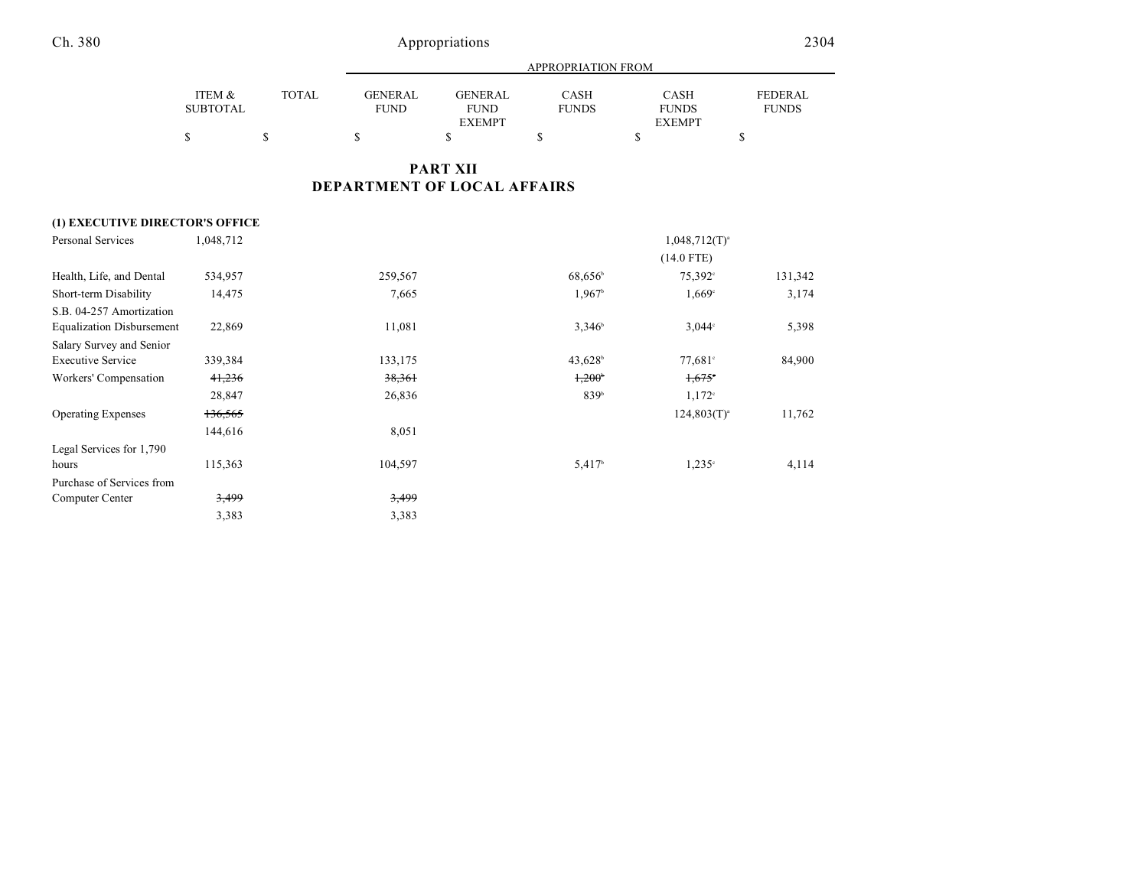|                 |              |             | <b>APPROPRIATION FROM</b> |              |               |              |  |
|-----------------|--------------|-------------|---------------------------|--------------|---------------|--------------|--|
| ITEM &          | <b>TOTAL</b> | GENERAL     | <b>GENERAL</b>            | <b>CASH</b>  | <b>CASH</b>   | FEDERAL      |  |
| <b>SUBTOTAL</b> |              | <b>FUND</b> | <b>FUND</b>               | <b>FUNDS</b> | <b>FUNDS</b>  | <b>FUNDS</b> |  |
|                 |              |             | <b>EXEMPT</b>             |              | <b>EXEMPT</b> |              |  |
|                 |              |             |                           |              |               |              |  |

# **PART XII DEPARTMENT OF LOCAL AFFAIRS**

# **(1) EXECUTIVE DIRECTOR'S OFFICE**

| Personal Services                | 1,048,712        |         |                       | $1,048,712(T)^{a}$  |         |
|----------------------------------|------------------|---------|-----------------------|---------------------|---------|
|                                  |                  |         |                       | $(14.0$ FTE)        |         |
| Health, Life, and Dental         | 534,957          | 259,567 | $68,656^{\circ}$      | 75,392 <sup>c</sup> | 131,342 |
| Short-term Disability            | 14,475           | 7,665   | $1.967$ <sup>b</sup>  | $1,669^\circ$       | 3,174   |
| S.B. 04-257 Amortization         |                  |         |                       |                     |         |
| <b>Equalization Disbursement</b> | 22,869           | 11,081  | $3,346^b$             | $3.044^{\circ}$     | 5,398   |
| Salary Survey and Senior         |                  |         |                       |                     |         |
| <b>Executive Service</b>         | 339,384          | 133,175 | $43,628$ <sup>b</sup> | $77,681^{\circ}$    | 84,900  |
| Workers' Compensation            | 41,236           | 38,361  | $1,200^{\circ}$       | $1,675$ °           |         |
|                                  | 28,847           | 26,836  | 839b                  | $1,172^{\circ}$     |         |
| <b>Operating Expenses</b>        | 136,565          |         |                       | $124,803(T)^{a}$    | 11,762  |
|                                  | 144,616          | 8,051   |                       |                     |         |
| Legal Services for 1,790         |                  |         |                       |                     |         |
| hours                            | 115,363          | 104,597 | 5,417 <sup>b</sup>    | $1,235^{\circ}$     | 4,114   |
| Purchase of Services from        |                  |         |                       |                     |         |
| Computer Center                  | <del>3,499</del> | 3,499   |                       |                     |         |
|                                  | 3,383            | 3,383   |                       |                     |         |

and a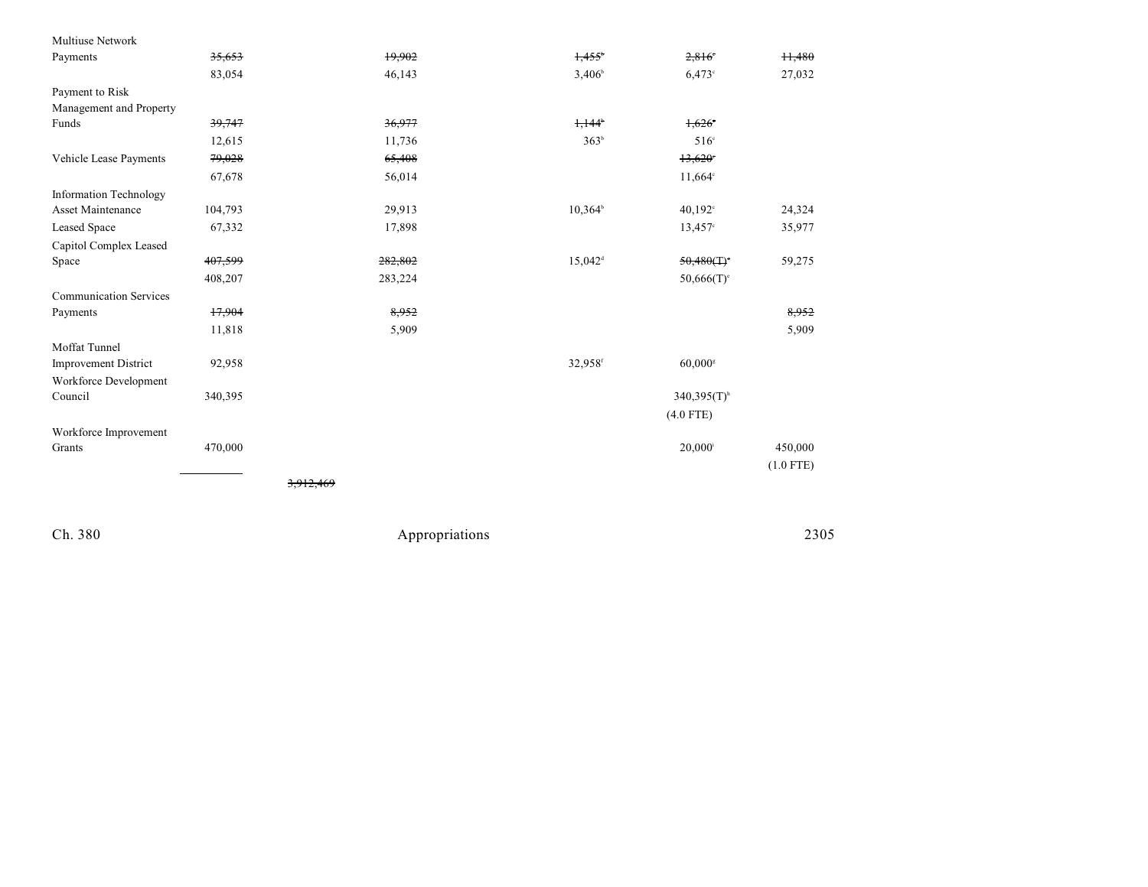| Multiuse Network              |         |                       |                       |                           |             |
|-------------------------------|---------|-----------------------|-----------------------|---------------------------|-------------|
| Payments                      | 35,653  | 19,902                | $1,455^{\circ}$       | $2,816$ <sup>*</sup>      | 11,480      |
|                               | 83,054  | 46,143                | $3,406^{\circ}$       | $6.473$ °                 | 27,032      |
| Payment to Risk               |         |                       |                       |                           |             |
| Management and Property       |         |                       |                       |                           |             |
| Funds                         | 39,747  | 36,977                | $1,144^{\circ}$       | $1,626^\circ$             |             |
|                               | 12,615  | 11,736                | 363 <sup>b</sup>      | $516^\circ$               |             |
| Vehicle Lease Payments        | 79,028  | 65,408                |                       | $13,620^\circ$            |             |
|                               | 67,678  | 56,014                |                       | $11,664^{\circ}$          |             |
| <b>Information Technology</b> |         |                       |                       |                           |             |
| Asset Maintenance             | 104,793 | 29,913                | $10.364^b$            | $40,192^{\circ}$          | 24,324      |
| Leased Space                  | 67,332  | 17,898                |                       | $13,457^{\circ}$          | 35,977      |
| Capitol Complex Leased        |         |                       |                       |                           |             |
| Space                         | 407,599 | 282,802               | $15,042$ <sup>d</sup> | 50,480(T)                 | 59,275      |
|                               | 408,207 | 283,224               |                       | $50,666(T)$ <sup>c</sup>  |             |
| <b>Communication Services</b> |         |                       |                       |                           |             |
| Payments                      | 17,904  | 8,952                 |                       |                           | 8,952       |
|                               | 11,818  | 5,909                 |                       |                           | 5,909       |
| Moffat Tunnel                 |         |                       |                       |                           |             |
| <b>Improvement District</b>   | 92,958  |                       | 32,958f               | $60,000$ <sup>s</sup>     |             |
| Workforce Development         |         |                       |                       |                           |             |
| Council                       | 340,395 |                       |                       | $340,395(T)$ <sup>h</sup> |             |
|                               |         |                       |                       | $(4.0$ FTE)               |             |
| Workforce Improvement         |         |                       |                       |                           |             |
| Grants                        | 470,000 |                       |                       | $20,000^{\rm i}$          | 450,000     |
|                               |         |                       |                       |                           | $(1.0$ FTE) |
|                               |         | <del>3,912,46</del> 9 |                       |                           |             |
|                               |         |                       |                       |                           |             |
|                               |         |                       |                       |                           |             |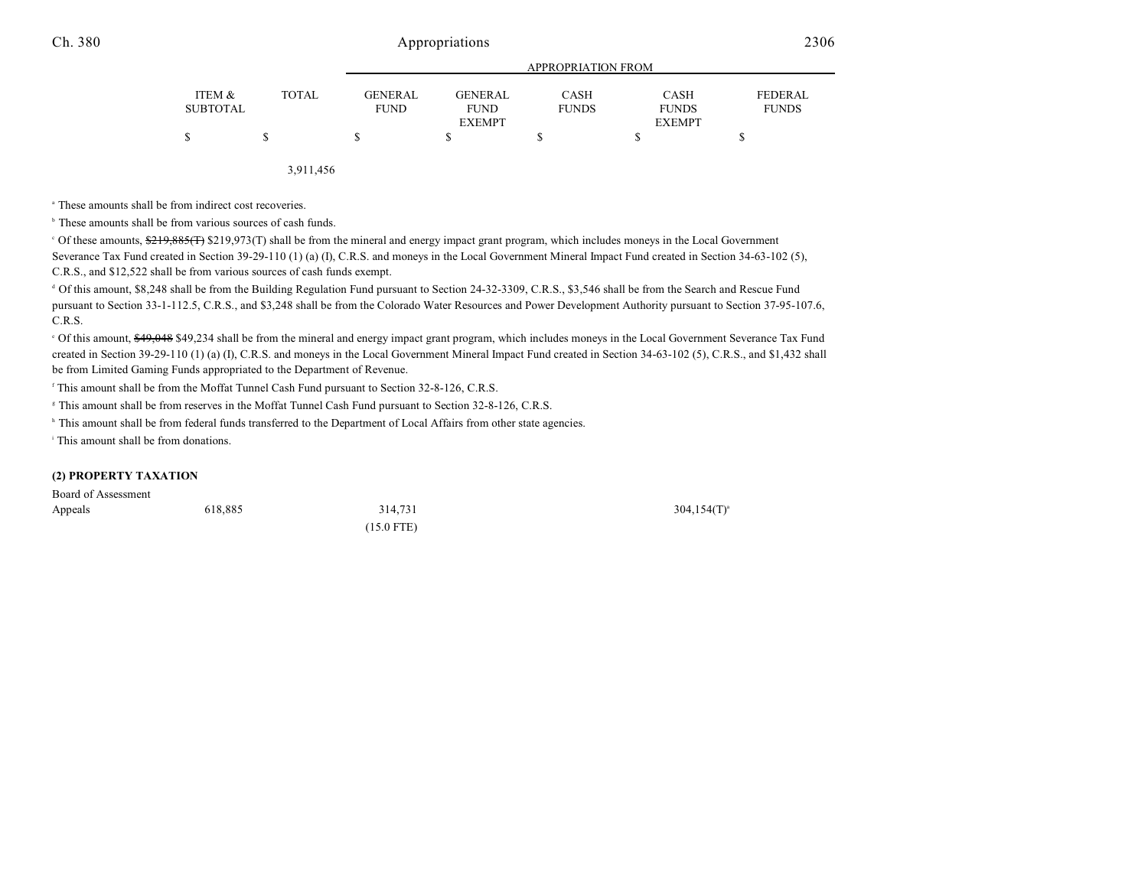|                 |              |                | APPROPRIATION FROM |              |               |              |  |  |
|-----------------|--------------|----------------|--------------------|--------------|---------------|--------------|--|--|
| ITEM &          | <b>TOTAL</b> | <b>GENERAL</b> | <b>GENERAL</b>     | <b>CASH</b>  | <b>CASH</b>   | FEDERAL      |  |  |
| <b>SUBTOTAL</b> |              | <b>FUND</b>    | <b>FUND</b>        | <b>FUNDS</b> | <b>FUNDS</b>  | <b>FUNDS</b> |  |  |
|                 |              |                | <b>EXEMPT</b>      |              | <b>EXEMPT</b> |              |  |  |
| S               |              | S              |                    |              |               |              |  |  |
|                 |              |                |                    |              |               |              |  |  |

3,911,456

<sup>a</sup> These amounts shall be from indirect cost recoveries.

 $<sup>b</sup>$  These amounts shall be from various sources of cash funds.</sup>

<sup>o</sup> Of these amounts,  $\frac{219,885(T)}{219,973(T)}$  shall be from the mineral and energy impact grant program, which includes moneys in the Local Government Severance Tax Fund created in Section 39-29-110 (1) (a) (I), C.R.S. and moneys in the Local Government Mineral Impact Fund created in Section 34-63-102 (5), C.R.S., and \$12,522 shall be from various sources of cash funds exempt.

 Of this amount, \$8,248 shall be from the Building Regulation Fund pursuant to Section 24-32-3309, C.R.S., \$3,546 shall be from the Search and Rescue Fund <sup>d</sup> pursuant to Section 33-1-112.5, C.R.S., and \$3,248 shall be from the Colorado Water Resources and Power Development Authority pursuant to Section 37-95-107.6, C.R.S.

<sup>o</sup> Of this amount, \$49,048 \$49,234 shall be from the mineral and energy impact grant program, which includes moneys in the Local Government Severance Tax Fund created in Section 39-29-110 (1) (a) (I), C.R.S. and moneys in the Local Government Mineral Impact Fund created in Section 34-63-102 (5), C.R.S., and \$1,432 shall be from Limited Gaming Funds appropriated to the Department of Revenue.

<sup>f</sup> This amount shall be from the Moffat Tunnel Cash Fund pursuant to Section 32-8-126, C.R.S.

This amount shall be from reserves in the Moffat Tunnel Cash Fund pursuant to Section 32-8-126, C.R.S. <sup>g</sup>

<sup>h</sup> This amount shall be from federal funds transferred to the Department of Local Affairs from other state agencies.

<sup>i</sup> This amount shall be from donations.

#### **(2) PROPERTY TAXATION**

| Board of Assessment |         |              |                   |
|---------------------|---------|--------------|-------------------|
| Appeals             | 618.885 | 314.731      | $304, 154(T)^{6}$ |
|                     |         | $(15.0$ FTE) |                   |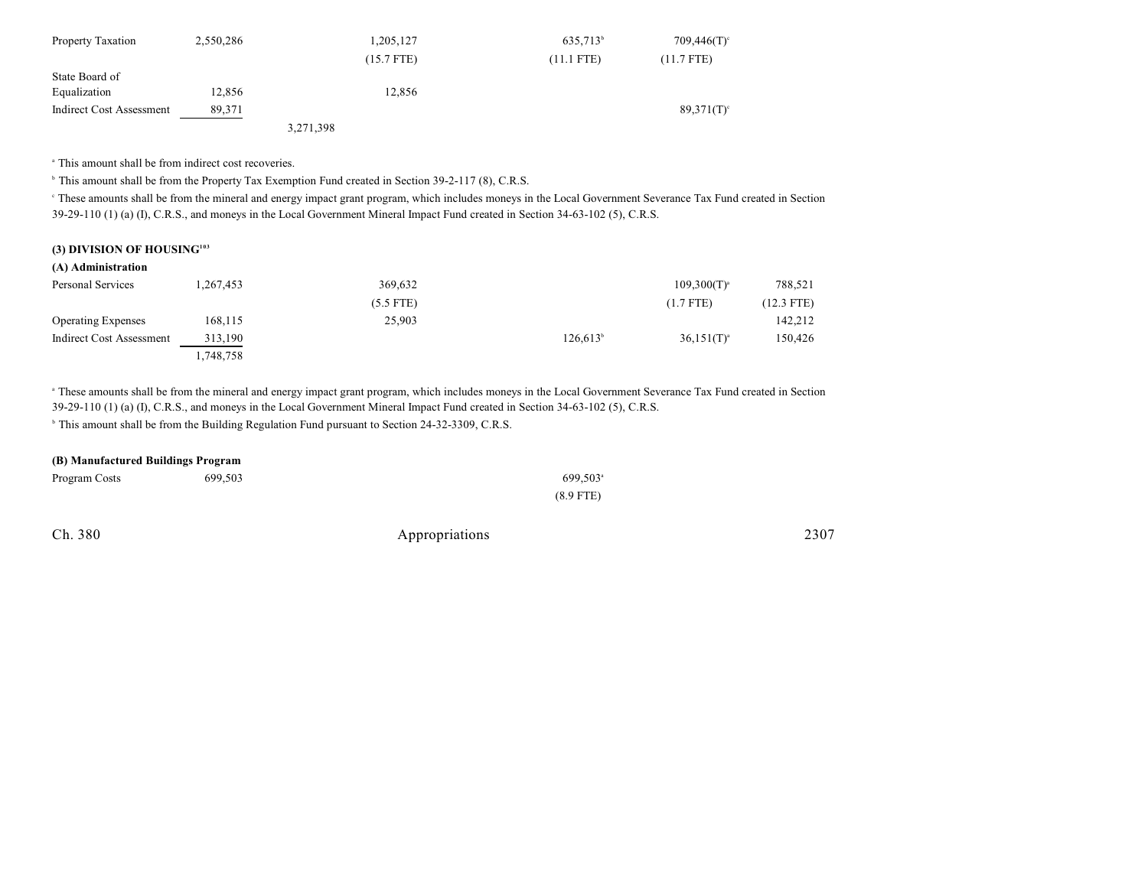| Property Taxation        | 2,550,286 |           | 1,205,127    | 635,713 <sup>b</sup> | $709,446(T)$ ° |
|--------------------------|-----------|-----------|--------------|----------------------|----------------|
|                          |           |           | $(15.7$ FTE) | $(11.1$ FTE)         | $(11.7$ FTE)   |
| State Board of           |           |           |              |                      |                |
| Equalization             | 12,856    |           | 12,856       |                      |                |
| Indirect Cost Assessment | 89,371    |           |              |                      | $89,371(T)$ °  |
|                          |           | 3,271,398 |              |                      |                |

<sup>a</sup> This amount shall be from indirect cost recoveries.

<sup>b</sup> This amount shall be from the Property Tax Exemption Fund created in Section 39-2-117 (8), C.R.S.

 These amounts shall be from the mineral and energy impact grant program, which includes moneys in the Local Government Severance Tax Fund created in Section <sup>c</sup> 39-29-110 (1) (a) (I), C.R.S., and moneys in the Local Government Mineral Impact Fund created in Section 34-63-102 (5), C.R.S.

### **(3) DIVISION OF HOUSING<sup>103</sup>**

| (A) Administration |  |
|--------------------|--|
|--------------------|--|

| Personal Services         | .267,453  | 369,632     |                      | $109,300(T)^{a}$ | 788,521      |
|---------------------------|-----------|-------------|----------------------|------------------|--------------|
|                           |           | $(5.5$ FTE) |                      | $(1.7$ FTE)      | $(12.3$ FTE) |
| <b>Operating Expenses</b> | 168,115   | 25,903      |                      |                  | 142,212      |
| Indirect Cost Assessment  | 313,190   |             | 126.613 <sup>b</sup> | $36.151(T)^{a}$  | 150,426      |
|                           | 1,748,758 |             |                      |                  |              |

<sup>a</sup> These amounts shall be from the mineral and energy impact grant program, which includes moneys in the Local Government Severance Tax Fund created in Section 39-29-110 (1) (a) (I), C.R.S., and moneys in the Local Government Mineral Impact Fund created in Section 34-63-102 (5), C.R.S.

<sup>b</sup> This amount shall be from the Building Regulation Fund pursuant to Section 24-32-3309, C.R.S.

| (B) Manufactured Buildings Program |         |                        |  |
|------------------------------------|---------|------------------------|--|
| Program Costs                      | 699.503 | $699.503$ <sup>a</sup> |  |
|                                    |         | $(8.9$ FTE)            |  |

Ch. 380 **Appropriations** 2307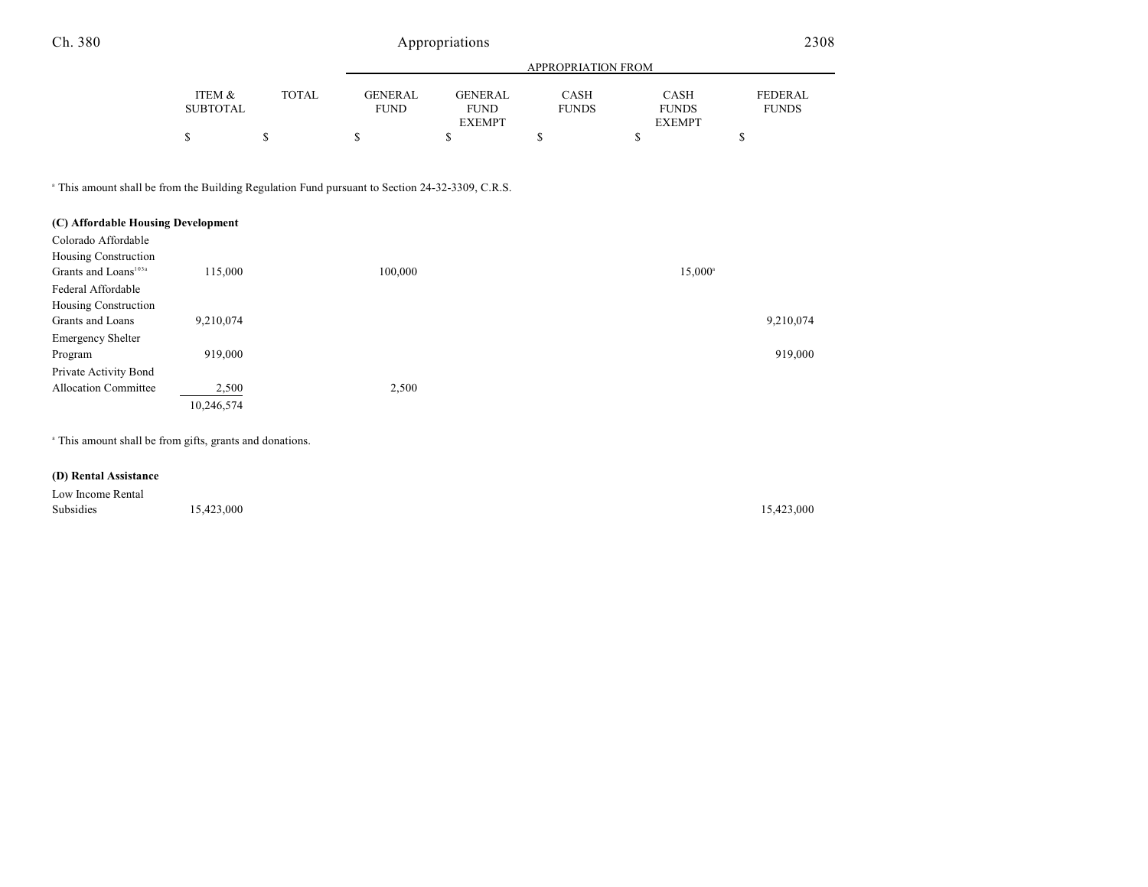|                 |       |                | APPROPRIATION FROM |              |               |                |  |
|-----------------|-------|----------------|--------------------|--------------|---------------|----------------|--|
|                 |       |                |                    |              |               |                |  |
| ITEM &          | TOTAL | <b>GENERAL</b> | GENERAL            | <b>CASH</b>  | <b>CASH</b>   | <b>FEDERAL</b> |  |
| <b>SUBTOTAL</b> |       | <b>FUND</b>    | <b>FUND</b>        | <b>FUNDS</b> | <b>FUNDS</b>  | <b>FUNDS</b>   |  |
|                 |       |                | <b>EXEMPT</b>      |              | <b>EXEMPT</b> |                |  |
|                 |       |                |                    |              |               |                |  |

<sup>a</sup> This amount shall be from the Building Regulation Fund pursuant to Section 24-32-3309, C.R.S.

| (C) Affordable Housing Development |                                                                     |         |                  |
|------------------------------------|---------------------------------------------------------------------|---------|------------------|
| Colorado Affordable                |                                                                     |         |                  |
| Housing Construction               |                                                                     |         |                  |
| Grants and Loans <sup>103a</sup>   | 115,000                                                             | 100,000 | $15,000^{\circ}$ |
| Federal Affordable                 |                                                                     |         |                  |
| Housing Construction               |                                                                     |         |                  |
| Grants and Loans                   | 9,210,074                                                           |         | 9,210,074        |
| <b>Emergency Shelter</b>           |                                                                     |         |                  |
| Program                            | 919,000                                                             |         | 919,000          |
| Private Activity Bond              |                                                                     |         |                  |
| <b>Allocation Committee</b>        | 2,500                                                               | 2,500   |                  |
|                                    | 10,246,574                                                          |         |                  |
|                                    |                                                                     |         |                  |
|                                    | <sup>a</sup> This amount shall be from gifts, grants and donations. |         |                  |

**(D) Rental Assistance**

Low Income Rental Subsidies 15,423,000 15,423,000 15,423,000 15,423,000 15,423,000 15,423,000 15,423,000 15,423,000 15,423,000 15,423,000 15,423,000 15,423,000 15,423,000 15,423,000 15,423,000 15,423,000 15,423,000 15,423,000 15,423,000 15,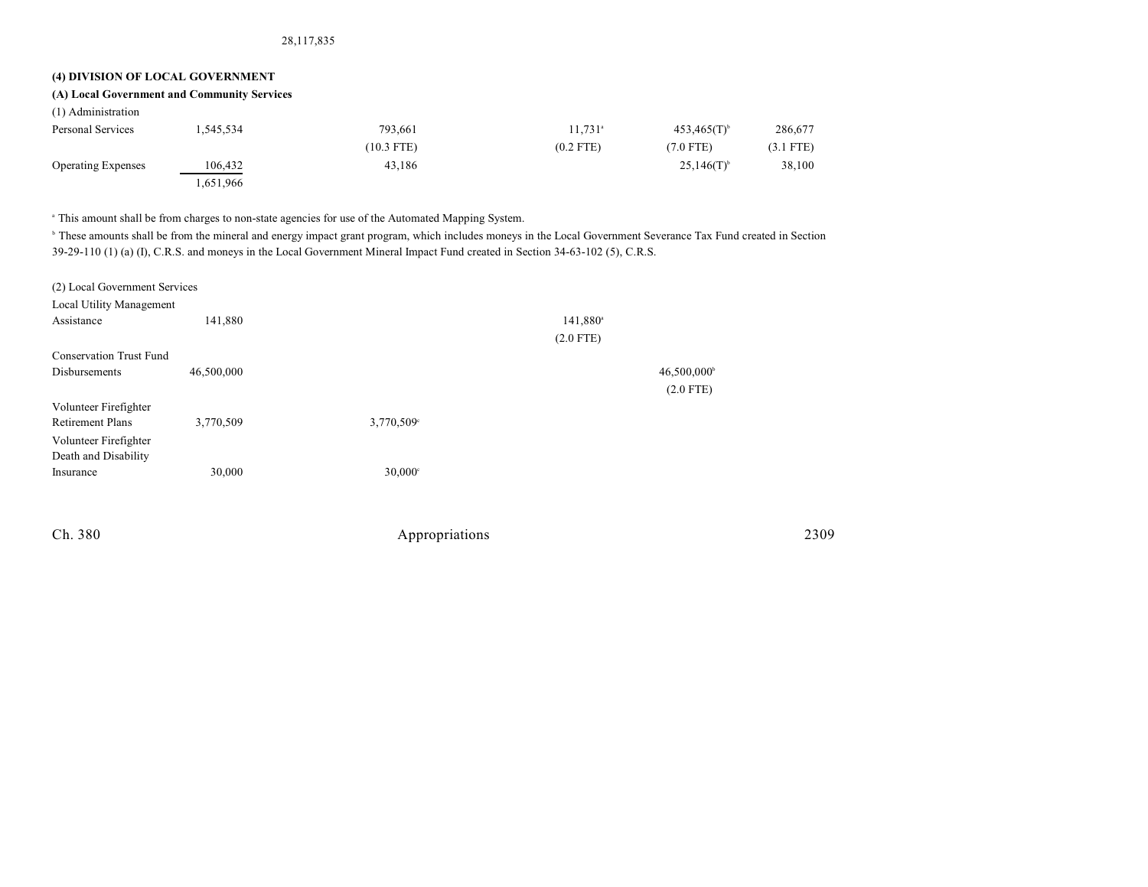## 28,117,835

# **(4) DIVISION OF LOCAL GOVERNMENT**

## **(A) Local Government and Community Services**

| (1) Administration        |           |              |                       |                  |             |
|---------------------------|-----------|--------------|-----------------------|------------------|-------------|
| Personal Services         | .545,534  | 793.661      | $11.731$ <sup>a</sup> | $453,465(T)^{6}$ | 286,677     |
|                           |           | $(10.3$ FTE) | $(0.2$ FTE)           | $(7.0$ FTE)      | $(3.1$ FTE) |
| <b>Operating Expenses</b> | 106,432   | 43.186       |                       | $25,146(T)^{6}$  | 38,100      |
|                           | 1.651.966 |              |                       |                  |             |

<sup>a</sup> This amount shall be from charges to non-state agencies for use of the Automated Mapping System.

<sup>b</sup> These amounts shall be from the mineral and energy impact grant program, which includes moneys in the Local Government Severance Tax Fund created in Section 39-29-110 (1) (a) (I), C.R.S. and moneys in the Local Government Mineral Impact Fund created in Section 34-63-102 (5), C.R.S.

| (2) Local Government Services  |            |                       |                      |                           |
|--------------------------------|------------|-----------------------|----------------------|---------------------------|
| Local Utility Management       |            |                       |                      |                           |
| Assistance                     | 141,880    |                       | 141,880 <sup>a</sup> |                           |
|                                |            |                       | $(2.0$ FTE)          |                           |
| <b>Conservation Trust Fund</b> |            |                       |                      |                           |
| Disbursements                  | 46,500,000 |                       |                      | $46,500,000$ <sup>b</sup> |
|                                |            |                       |                      | $(2.0$ FTE)               |
| Volunteer Firefighter          |            |                       |                      |                           |
| <b>Retirement Plans</b>        | 3,770,509  | 3,770,509°            |                      |                           |
| Volunteer Firefighter          |            |                       |                      |                           |
| Death and Disability           |            |                       |                      |                           |
| Insurance                      | 30,000     | $30,000$ <sup>c</sup> |                      |                           |
|                                |            |                       |                      |                           |
|                                |            |                       |                      |                           |

| Ch. 380 | Appropriations | 2309<br>____ |
|---------|----------------|--------------|
|         |                |              |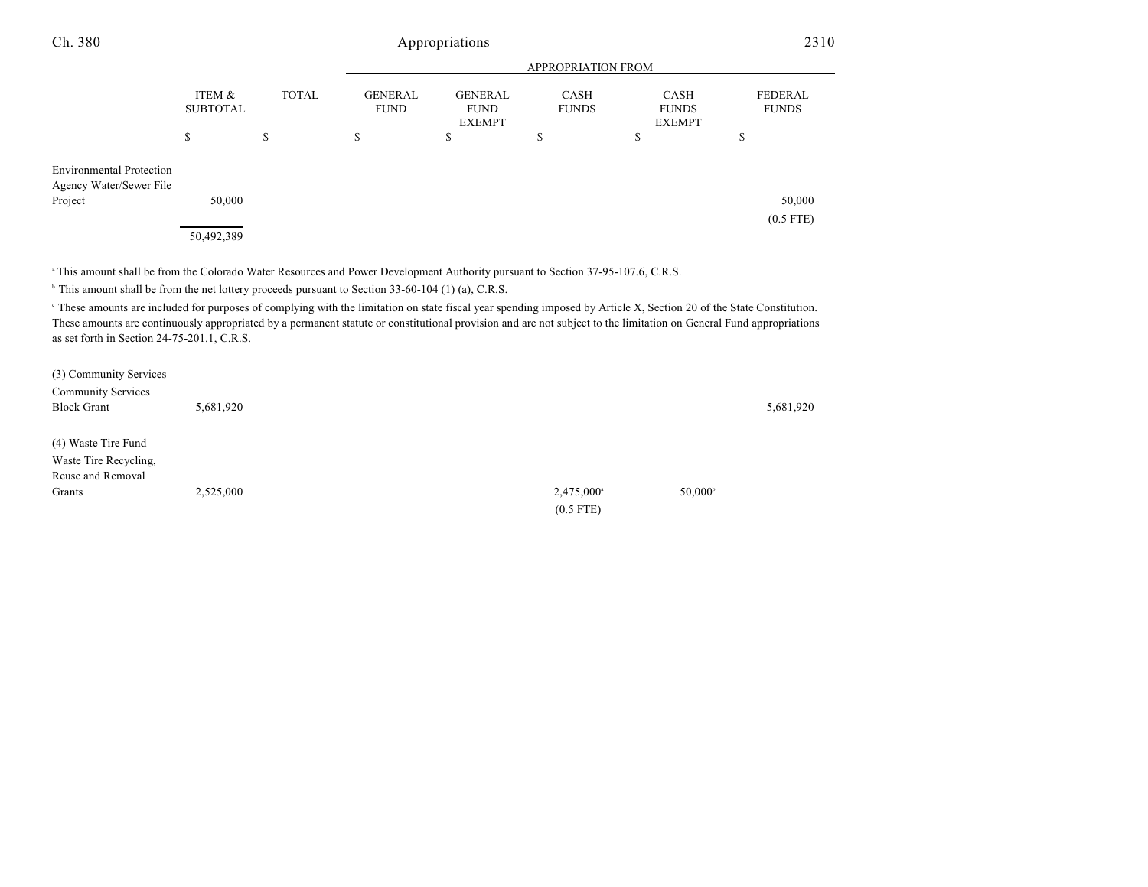| Ch. 380                                                    | Appropriations            |              |                               |                                                |                             |                                              | 2310                           |  |
|------------------------------------------------------------|---------------------------|--------------|-------------------------------|------------------------------------------------|-----------------------------|----------------------------------------------|--------------------------------|--|
|                                                            | <b>APPROPRIATION FROM</b> |              |                               |                                                |                             |                                              |                                |  |
|                                                            | ITEM &<br><b>SUBTOTAL</b> | <b>TOTAL</b> | <b>GENERAL</b><br><b>FUND</b> | <b>GENERAL</b><br><b>FUND</b><br><b>EXEMPT</b> | <b>CASH</b><br><b>FUNDS</b> | <b>CASH</b><br><b>FUNDS</b><br><b>EXEMPT</b> | <b>FEDERAL</b><br><b>FUNDS</b> |  |
|                                                            | \$                        | \$           | \$                            | \$                                             | ch<br>Φ                     | \$                                           | \$                             |  |
| <b>Environmental Protection</b><br>Agency Water/Sewer File |                           |              |                               |                                                |                             |                                              |                                |  |
| Project                                                    | 50,000                    |              |                               |                                                |                             |                                              | 50,000                         |  |
|                                                            |                           |              |                               |                                                |                             |                                              | $(0.5$ FTE)                    |  |
|                                                            | 50,492,389                |              |                               |                                                |                             |                                              |                                |  |

<sup>a</sup> This amount shall be from the Colorado Water Resources and Power Development Authority pursuant to Section 37-95-107.6, C.R.S.

<sup>b</sup> This amount shall be from the net lottery proceeds pursuant to Section 33-60-104 (1) (a), C.R.S.

 These amounts are included for purposes of complying with the limitation on state fiscal year spending imposed by Article X, Section 20 of the State Constitution. <sup>c</sup> These amounts are continuously appropriated by a permanent statute or constitutional provision and are not subject to the limitation on General Fund appropriations as set forth in Section 24-75-201.1, C.R.S.

| (3) Community Services    |           |                     |                  |           |
|---------------------------|-----------|---------------------|------------------|-----------|
| <b>Community Services</b> |           |                     |                  |           |
| <b>Block Grant</b>        | 5,681,920 |                     |                  | 5,681,920 |
|                           |           |                     |                  |           |
| (4) Waste Tire Fund       |           |                     |                  |           |
| Waste Tire Recycling,     |           |                     |                  |           |
| Reuse and Removal         |           |                     |                  |           |
| Grants                    | 2,525,000 | $2,475,000^{\circ}$ | $50,000^{\circ}$ |           |
|                           |           | $(0.5$ FTE)         |                  |           |
|                           |           |                     |                  |           |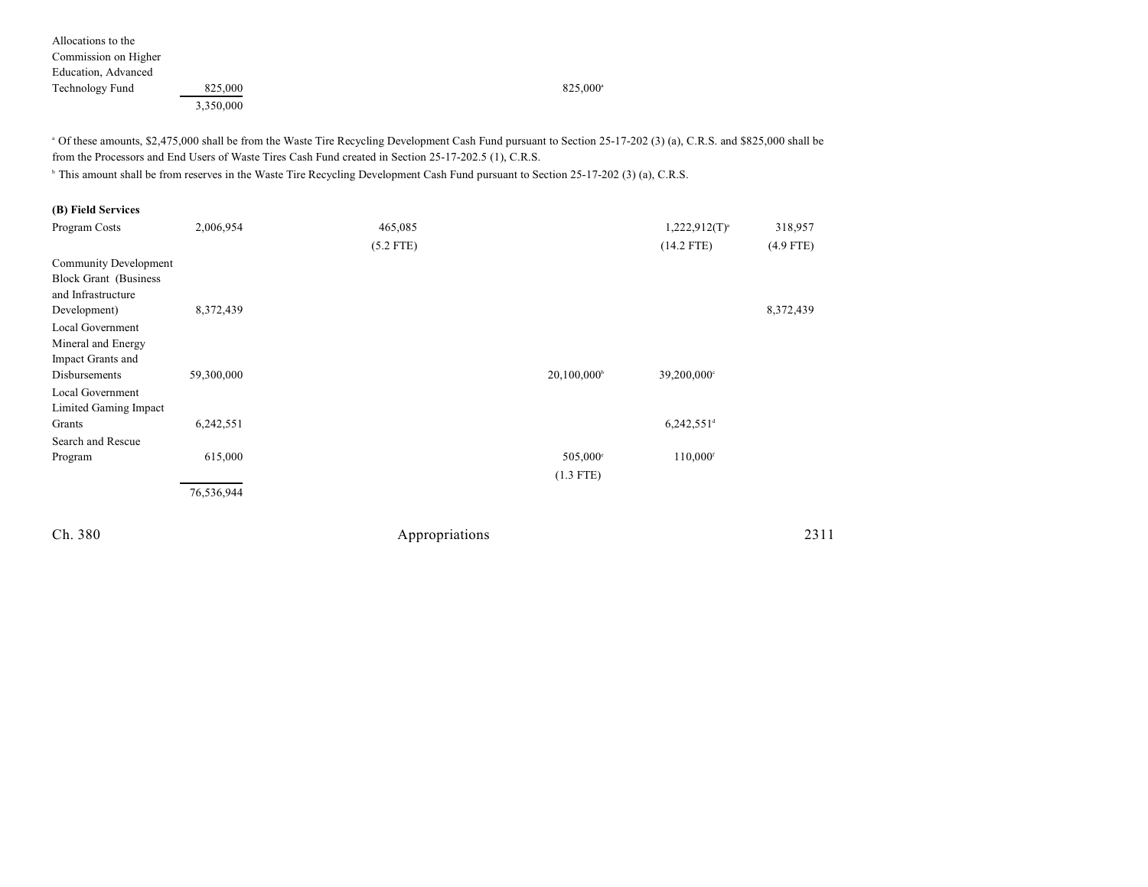| Allocations to the   |           |                      |
|----------------------|-----------|----------------------|
| Commission on Higher |           |                      |
| Education, Advanced  |           |                      |
| Technology Fund      | 825,000   | 825,000 <sup>a</sup> |
|                      | 3,350,000 |                      |

<sup>a</sup> Of these amounts, \$2,475,000 shall be from the Waste Tire Recycling Development Cash Fund pursuant to Section 25-17-202 (3) (a), C.R.S. and \$825,000 shall be from the Processors and End Users of Waste Tires Cash Fund created in Section 25-17-202.5 (1), C.R.S.

<sup>b</sup> This amount shall be from reserves in the Waste Tire Recycling Development Cash Fund pursuant to Section 25-17-202 (3) (a), C.R.S.

| (B) Field Services           |            |                |                      |                          |             |
|------------------------------|------------|----------------|----------------------|--------------------------|-------------|
| Program Costs                | 2,006,954  | 465,085        |                      | $1,222,912(T)^{a}$       | 318,957     |
|                              |            | $(5.2$ FTE)    |                      | $(14.2$ FTE)             | $(4.9$ FTE) |
| Community Development        |            |                |                      |                          |             |
| <b>Block Grant</b> (Business |            |                |                      |                          |             |
| and Infrastructure           |            |                |                      |                          |             |
| Development)                 | 8,372,439  |                |                      |                          | 8,372,439   |
| Local Government             |            |                |                      |                          |             |
| Mineral and Energy           |            |                |                      |                          |             |
| Impact Grants and            |            |                |                      |                          |             |
| Disbursements                | 59,300,000 |                | $20,100,000^{\circ}$ | 39,200,000°              |             |
| Local Government             |            |                |                      |                          |             |
| Limited Gaming Impact        |            |                |                      |                          |             |
| Grants                       | 6,242,551  |                |                      | $6,242,551$ <sup>d</sup> |             |
| Search and Rescue            |            |                |                      |                          |             |
| Program                      | 615,000    |                | 505,000°             | $110,000$ <sup>f</sup>   |             |
|                              |            |                | $(1.3$ FTE)          |                          |             |
|                              | 76,536,944 |                |                      |                          |             |
|                              |            |                |                      |                          |             |
| Ch. 380                      |            | Appropriations |                      |                          | 2311        |
|                              |            |                |                      |                          |             |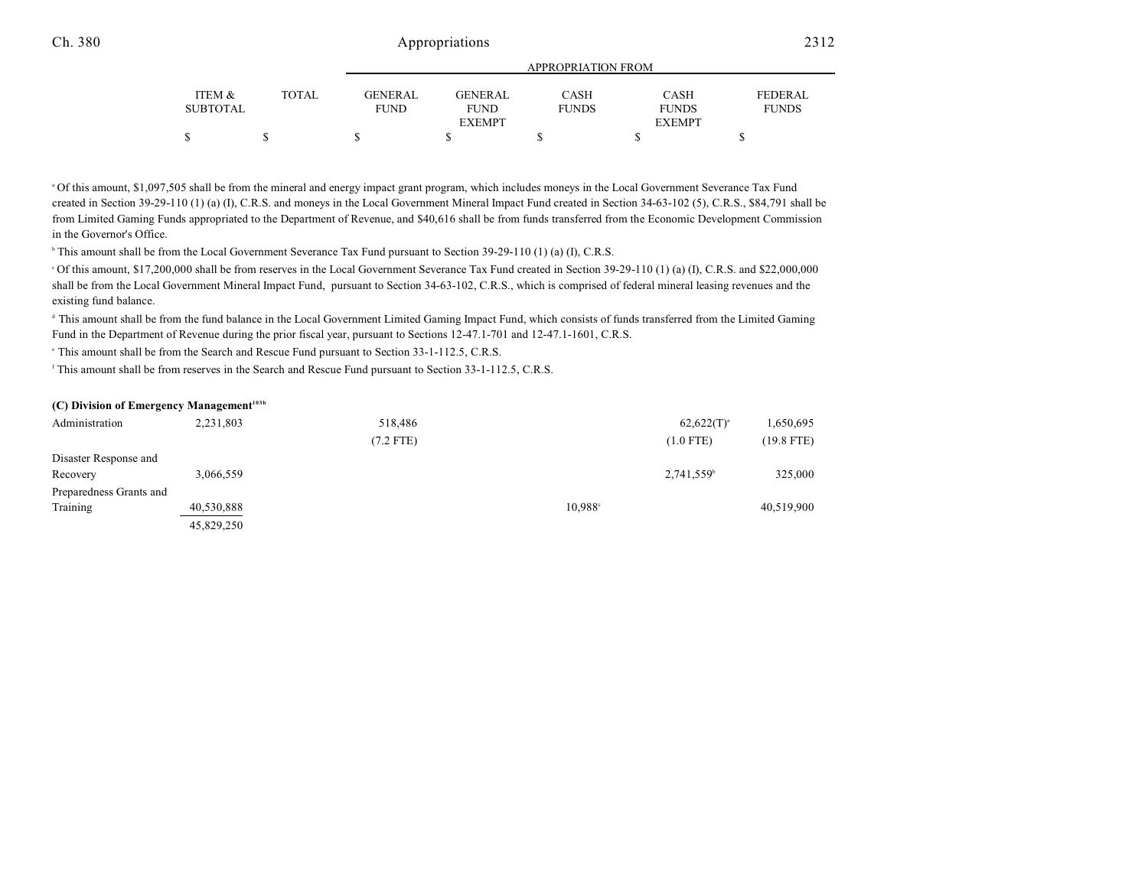|                 |       |                | APPROPRIATION FROM |              |               |                |  |
|-----------------|-------|----------------|--------------------|--------------|---------------|----------------|--|
| ITEM &          | TOTAL | <b>GENERAL</b> | <b>GENERAL</b>     | CASH         | <b>CASH</b>   | <b>FEDERAL</b> |  |
| <b>SUBTOTAL</b> |       | <b>FUND</b>    | <b>FUND</b>        | <b>FUNDS</b> | <b>FUNDS</b>  | <b>FUNDS</b>   |  |
|                 |       |                | <b>EXEMPT</b>      |              | <b>EXEMPT</b> |                |  |
| \$              |       |                |                    |              |               |                |  |

Of this amount, \$1,097,505 shall be from the mineral and energy impact grant program, which includes moneys in the Local Government Severance Tax Fund <sup>a</sup> created in Section 39-29-110 (1) (a) (I), C.R.S. and moneys in the Local Government Mineral Impact Fund created in Section 34-63-102 (5), C.R.S., \$84,791 shall be from Limited Gaming Funds appropriated to the Department of Revenue, and \$40,616 shall be from funds transferred from the Economic Development Commission in the Governor's Office.

<sup>b</sup> This amount shall be from the Local Government Severance Tax Fund pursuant to Section 39-29-110 (1) (a) (I), C.R.S.

Of this amount, \$17,200,000 shall be from reserves in the Local Government Severance Tax Fund created in Section 39-29-110 (1) (a) (I), C.R.S. and \$22,000,000 <sup>c</sup> shall be from the Local Government Mineral Impact Fund, pursuant to Section 34-63-102, C.R.S., which is comprised of federal mineral leasing revenues and the existing fund balance.

<sup>d</sup> This amount shall be from the fund balance in the Local Government Limited Gaming Impact Fund, which consists of funds transferred from the Limited Gaming Fund in the Department of Revenue during the prior fiscal year, pursuant to Sections 12-47.1-701 and 12-47.1-1601, C.R.S.

 $\degree$  This amount shall be from the Search and Rescue Fund pursuant to Section 33-1-112.5, C.R.S.

<sup>f</sup> This amount shall be from reserves in the Search and Rescue Fund pursuant to Section 33-1-112.5, C.R.S.

### **(C) Division of Emergency Management103b**

| Administration          | 2,231,803  | 518,486     |                  | $62,622(T)^{a}$        | 1,650,695    |
|-------------------------|------------|-------------|------------------|------------------------|--------------|
|                         |            | $(7.2$ FTE) |                  | $(1.0$ FTE)            | $(19.8$ FTE) |
| Disaster Response and   |            |             |                  |                        |              |
| Recovery                | 3,066,559  |             |                  | 2,741,559 <sup>b</sup> | 325,000      |
| Preparedness Grants and |            |             |                  |                        |              |
| Training                | 40,530,888 |             | $10.988^{\circ}$ |                        | 40,519,900   |
|                         | 45,829,250 |             |                  |                        |              |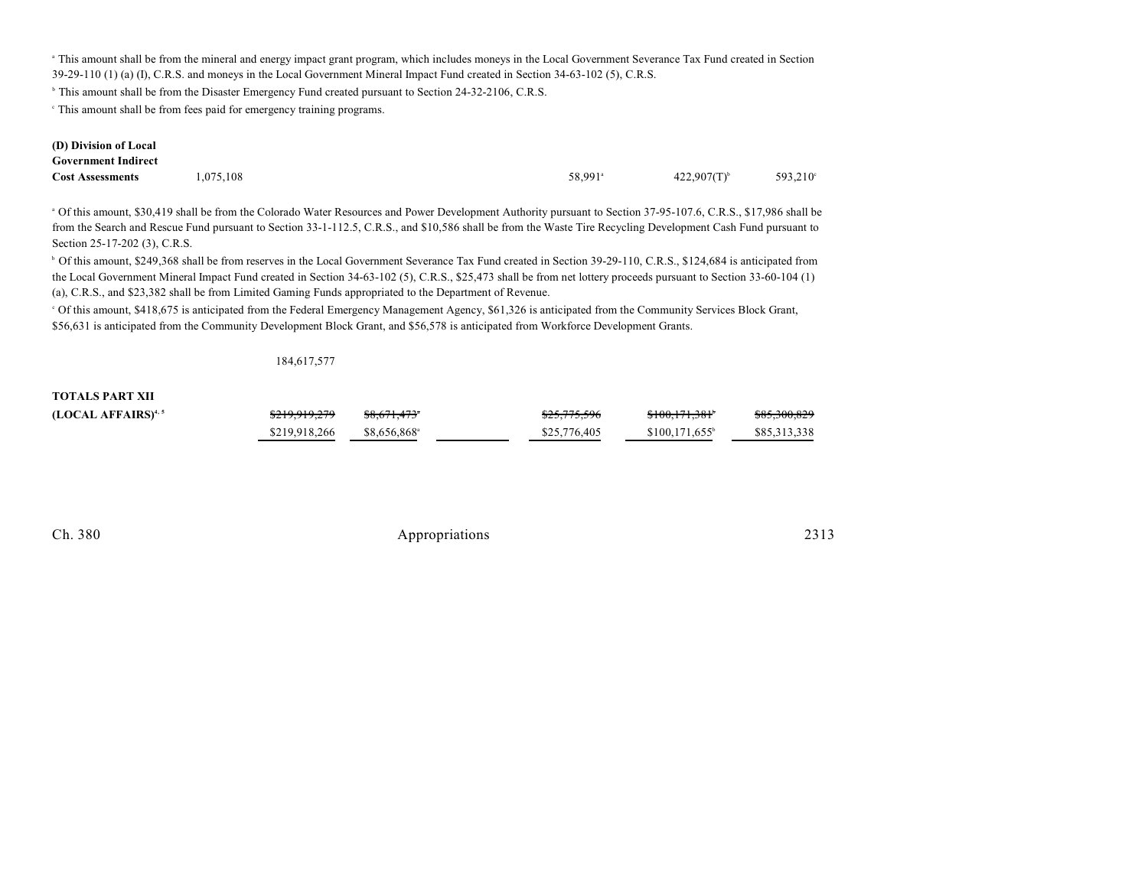<sup>a</sup> This amount shall be from the mineral and energy impact grant program, which includes moneys in the Local Government Severance Tax Fund created in Section 39-29-110 (1) (a) (I), C.R.S. and moneys in the Local Government Mineral Impact Fund created in Section 34-63-102 (5), C.R.S.

<sup>b</sup> This amount shall be from the Disaster Emergency Fund created pursuant to Section 24-32-2106, C.R.S.

This amount shall be from fees paid for emergency training programs. <sup>c</sup>

#### **(D) Division of Local Government Indirect**

**Cost Assessments** 1,075,108 **58,991** 593,210 **58,991** 422,907(T) 593,210

<sup>a</sup> Of this amount, \$30,419 shall be from the Colorado Water Resources and Power Development Authority pursuant to Section 37-95-107.6, C.R.S., \$17,986 shall be from the Search and Rescue Fund pursuant to Section 33-1-112.5, C.R.S., and \$10,586 shall be from the Waste Tire Recycling Development Cash Fund pursuant to Section 25-17-202 (3), C.R.S.

<sup>b</sup> Of this amount, \$249,368 shall be from reserves in the Local Government Severance Tax Fund created in Section 39-29-110, C.R.S., \$124,684 is anticipated from the Local Government Mineral Impact Fund created in Section 34-63-102 (5), C.R.S., \$25,473 shall be from net lottery proceeds pursuant to Section 33-60-104 (1) (a), C.R.S., and \$23,382 shall be from Limited Gaming Funds appropriated to the Department of Revenue.

Of this amount, \$418,675 is anticipated from the Federal Emergency Management Agency, \$61,326 is anticipated from the Community Services Block Grant, \$56,631 is anticipated from the Community Development Block Grant, and \$56,578 is anticipated from Workforce Development Grants.

184,617,577

# **TOTALS PART XII**

| (LOCAL AFFAIRS) <sup>4, 5</sup> | \$219,919,279 | <del>\$8.671.473</del> *  | <del>\$25,775,596</del> | \$100,171,381               | \$85,300,829 |
|---------------------------------|---------------|---------------------------|-------------------------|-----------------------------|--------------|
|                                 | \$219,918,266 | $$8.656.868$ <sup>a</sup> | \$25,776,405            | $$100.171.655$ <sup>b</sup> | \$85,313,338 |

Ch. 380 **Appropriations** 2313